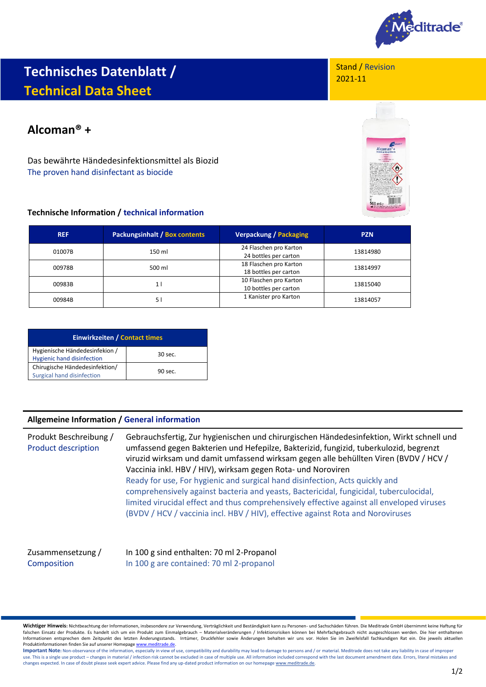

# **Technisches Datenblatt / Technical Data Sheet**

**Alcoman® +**

Das bewährte Händedesinfektionsmittel als Biozid The proven hand disinfectant as biocide

## **Technische Information / technical information**

| <b>REF</b> | Packungsinhalt / Box contents | <b>Verpackung / Packaging</b>                   | <b>PZN</b> |
|------------|-------------------------------|-------------------------------------------------|------------|
| 01007B     | 150 ml                        | 24 Flaschen pro Karton<br>24 bottles per carton | 13814980   |
| 00978B     | 500 ml                        | 18 Flaschen pro Karton<br>18 bottles per carton | 13814997   |
| 00983B     |                               | 10 Flaschen pro Karton<br>10 bottles per carton | 13815040   |
| 00984B     | 5.                            | 1 Kanister pro Karton                           | 13814057   |

| <b>Einwirkzeiten / Contact times</b>                                |           |  |  |
|---------------------------------------------------------------------|-----------|--|--|
| Hygienische Händedesinfekion /<br><b>Hygienic hand disinfection</b> | $30$ sec. |  |  |
| Chirugische Händedesinfektion/<br>Surgical hand disinfection        | $90$ sec. |  |  |

#### **Allgemeine Information / General information**

Produkt Beschreibung / Product description Gebrauchsfertig, Zur hygienischen und chirurgischen Händedesinfektion, Wirkt schnell und umfassend gegen Bakterien und Hefepilze, Bakterizid, fungizid, tuberkulozid, begrenzt viruzid wirksam und damit umfassend wirksam gegen alle behüllten Viren (BVDV / HCV / Vaccinia inkl. HBV / HIV), wirksam gegen Rota- und Noroviren Ready for use, For hygienic and surgical hand disinfection, Acts quickly and comprehensively against bacteria and yeasts, Bactericidal, fungicidal, tuberculocidal, limited virucidal effect and thus comprehensively effective against all enveloped viruses (BVDV / HCV / vaccinia incl. HBV / HIV), effective against Rota and Noroviruses

Zusammensetzung / Composition

In 100 g sind enthalten: 70 ml 2-Propanol In 100 g are contained: 70 ml 2-propanol

**Wichtiger Hinweis:** Nichtbeachtung der Informationen, insbesondere zur Verwendung, Verträglichkeit und Beständigkeit kann zu Personen- und Sachschäden führen. Die Meditrade GmbH übernimmt keine Haftung für falschen Einsatz der Produkte. Es handelt sich um ein Produkt zum Einmalgebrauch – Materialveränderungen / Infektionsrisiken können bei Mehrfachgebrauch nicht ausgeschlossen werden. Die hier enthaltenen Informationen entsprechen dem Zeitpunkt des letzten Änderungsstands. Irrtümer, Druckfehler sowie Änderungen behalten wir uns vor. Holen Sie im Zweifelsfall fachkundigen Rat ein. Die jeweils aktuellen Produktinformationen finden Sie auf unserer Homepag[e www.meditrade.de.](http://www.meditrade.de/)

Important Note: Non-observance of the information, especially in view of use, compatibility and durability may lead to damage to persons and / or material. Meditrade does not take any liability in case of improper use. This is a single use product – changes in material / infection risk cannot be excluded in case of multiple use. All information included correspond with the last document amendment date. Errors, literal mistakes and changes expected. In case of doubt please seek expert advice. Please find any up-dated product information on our homepag[e www.meditrade.de.](http://www.meditrade.de/)



Stand / Revision

2021-11